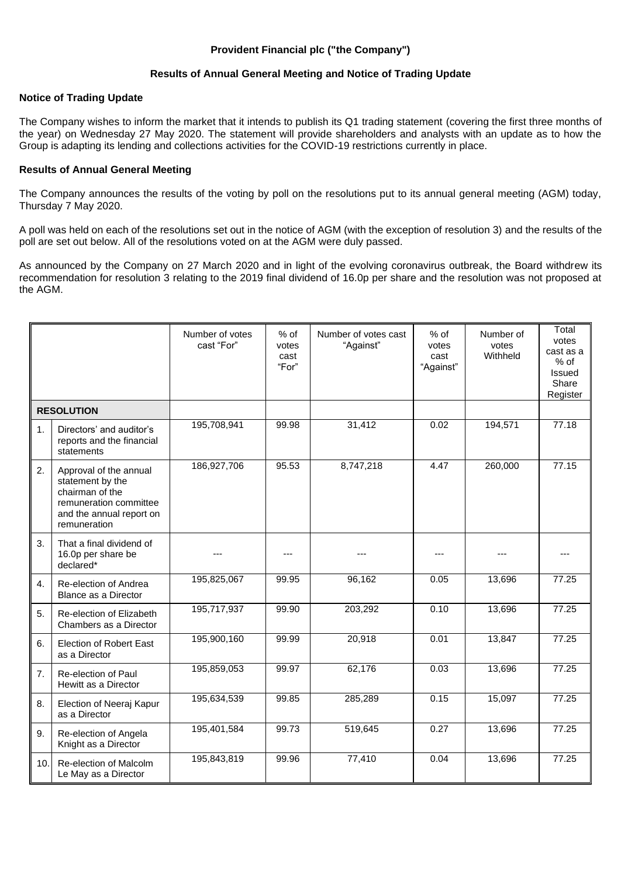# **Provident Financial plc ("the Company")**

# **Results of Annual General Meeting and Notice of Trading Update**

### **Notice of Trading Update**

The Company wishes to inform the market that it intends to publish its Q1 trading statement (covering the first three months of the year) on Wednesday 27 May 2020. The statement will provide shareholders and analysts with an update as to how the Group is adapting its lending and collections activities for the COVID-19 restrictions currently in place.

#### **Results of Annual General Meeting**

The Company announces the results of the voting by poll on the resolutions put to its annual general meeting (AGM) today, Thursday 7 May 2020.

A poll was held on each of the resolutions set out in the notice of AGM (with the exception of resolution 3) and the results of the poll are set out below. All of the resolutions voted on at the AGM were duly passed.

As announced by the Company on 27 March 2020 and in light of the evolving coronavirus outbreak, the Board withdrew its recommendation for resolution 3 relating to the 2019 final dividend of 16.0p per share and the resolution was not proposed at the AGM.

|                   |                                                                                                                                     | Number of votes<br>cast "For" | $%$ of<br>votes<br>cast<br>"For" | Number of votes cast<br>"Against" | $%$ of<br>votes<br>cast<br>"Against" | Number of<br>votes<br>Withheld | Total<br>votes<br>cast as a<br>$%$ of<br><b>Issued</b><br>Share<br>Register |
|-------------------|-------------------------------------------------------------------------------------------------------------------------------------|-------------------------------|----------------------------------|-----------------------------------|--------------------------------------|--------------------------------|-----------------------------------------------------------------------------|
| <b>RESOLUTION</b> |                                                                                                                                     |                               |                                  |                                   |                                      |                                |                                                                             |
| 1.                | Directors' and auditor's<br>reports and the financial<br>statements                                                                 | 195,708,941                   | 99.98                            | 31,412                            | 0.02                                 | 194,571                        | 77.18                                                                       |
| 2.                | Approval of the annual<br>statement by the<br>chairman of the<br>remuneration committee<br>and the annual report on<br>remuneration | 186,927,706                   | 95.53                            | 8,747,218                         | 4.47                                 | 260,000                        | 77.15                                                                       |
| 3.                | That a final dividend of<br>16.0p per share be<br>declared*                                                                         |                               | ---                              |                                   | ---                                  |                                |                                                                             |
| 4.                | Re-election of Andrea<br>Blance as a Director                                                                                       | 195,825,067                   | 99.95                            | 96,162                            | 0.05                                 | 13,696                         | 77.25                                                                       |
| 5.                | Re-election of Elizabeth<br>Chambers as a Director                                                                                  | 195,717,937                   | 99.90                            | 203,292                           | 0.10                                 | 13,696                         | 77.25                                                                       |
| 6.                | <b>Election of Robert East</b><br>as a Director                                                                                     | 195,900,160                   | 99.99                            | 20,918                            | 0.01                                 | 13,847                         | 77.25                                                                       |
| 7.                | Re-election of Paul<br>Hewitt as a Director                                                                                         | 195,859,053                   | 99.97                            | 62,176                            | 0.03                                 | 13,696                         | 77.25                                                                       |
| 8.                | Election of Neeraj Kapur<br>as a Director                                                                                           | 195,634,539                   | 99.85                            | 285,289                           | 0.15                                 | 15,097                         | 77.25                                                                       |
| 9.                | Re-election of Angela<br>Knight as a Director                                                                                       | 195,401,584                   | 99.73                            | 519,645                           | 0.27                                 | 13,696                         | 77.25                                                                       |
| 10.               | Re-election of Malcolm<br>Le May as a Director                                                                                      | 195,843,819                   | 99.96                            | 77,410                            | 0.04                                 | 13,696                         | 77.25                                                                       |